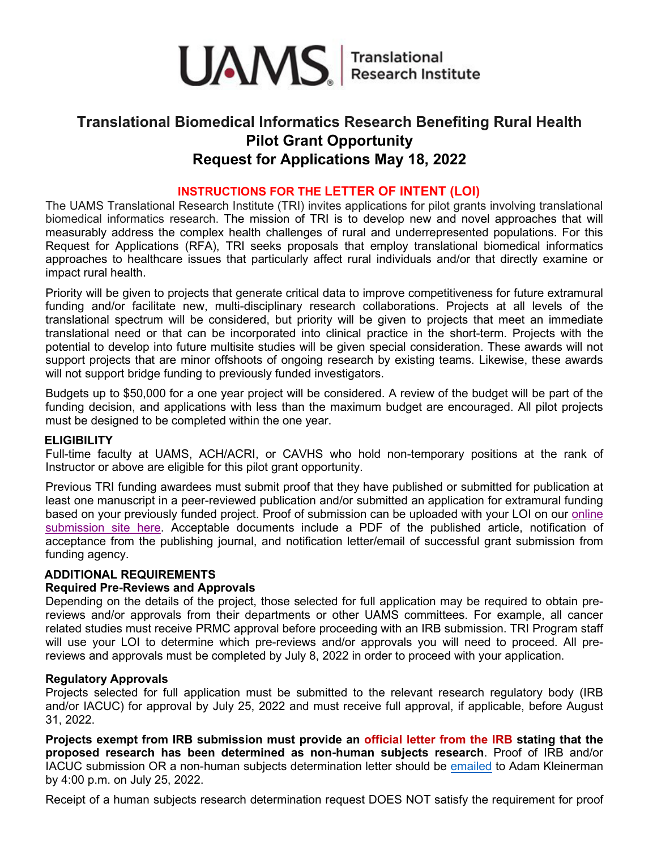

# **Translational Biomedical Informatics Research Benefiting Rural Health Pilot Grant Opportunity Request for Applications May 18, 2022**

# **INSTRUCTIONS FOR THE LETTER OF INTENT (LOI)**

The UAMS Translational Research Institute (TRI) invites applications for pilot grants involving translational biomedical informatics research. The mission of TRI is to develop new and novel approaches that will measurably address the complex health challenges of rural and underrepresented populations. For this Request for Applications (RFA), TRI seeks proposals that employ translational biomedical informatics approaches to healthcare issues that particularly affect rural individuals and/or that directly examine or impact rural health.

Priority will be given to projects that generate critical data to improve competitiveness for future extramural funding and/or facilitate new, multi-disciplinary research collaborations. Projects at all levels of the translational spectrum will be considered, but priority will be given to projects that meet an immediate translational need or that can be incorporated into clinical practice in the short-term. Projects with the potential to develop into future multisite studies will be given special consideration. These awards will not support projects that are minor offshoots of ongoing research by existing teams. Likewise, these awards will not support bridge funding to previously funded investigators.

Budgets up to \$50,000 for a one year project will be considered. A review of the budget will be part of the funding decision, and applications with less than the maximum budget are encouraged. All pilot projects must be designed to be completed within the one year.

## **ELIGIBILITY**

Full-time faculty at UAMS, ACH/ACRI, or CAVHS who hold non-temporary positions at the rank of Instructor or above are eligible for this pilot grant opportunity.

Previous TRI funding awardees must submit proof that they have published or submitted for publication at least one manuscript in a peer-reviewed publication and/or submitted an application for extramural funding based on your previously funded project. Proof of submission can be uploaded with your LOI on our [online](https://crisredcap.uams.edu/redcap/surveys/?s=E8NYPM9PXC4Y8Y8R)  [submission site here.](https://crisredcap.uams.edu/redcap/surveys/?s=E8NYPM9PXC4Y8Y8R) Acceptable documents include a PDF of the published article, notification of acceptance from the publishing journal, and notification letter/email of successful grant submission from funding agency.

## **ADDITIONAL REQUIREMENTS**

#### **Required Pre-Reviews and Approvals**

Depending on the details of the project, those selected for full application may be required to obtain prereviews and/or approvals from their departments or other UAMS committees. For example, all cancer related studies must receive PRMC approval before proceeding with an IRB submission. TRI Program staff will use your LOI to determine which pre-reviews and/or approvals you will need to proceed. All prereviews and approvals must be completed by July 8, 2022 in order to proceed with your application.

#### **Regulatory Approvals**

Projects selected for full application must be submitted to the relevant research regulatory body (IRB and/or IACUC) for approval by July 25, 2022 and must receive full approval, if applicable, before August 31, 2022.

**Projects exempt from IRB submission must provide an official letter from the IRB stating that the proposed research has been determined as non-human subjects research**. Proof of IRB and/or IACUC submission OR a non-human subjects determination letter should be [emailed](mailto:akleinerman@uams.edu) to Adam Kleinerman by 4:00 p.m. on July 25, 2022.

Receipt of a human subjects research determination request DOES NOT satisfy the requirement for proof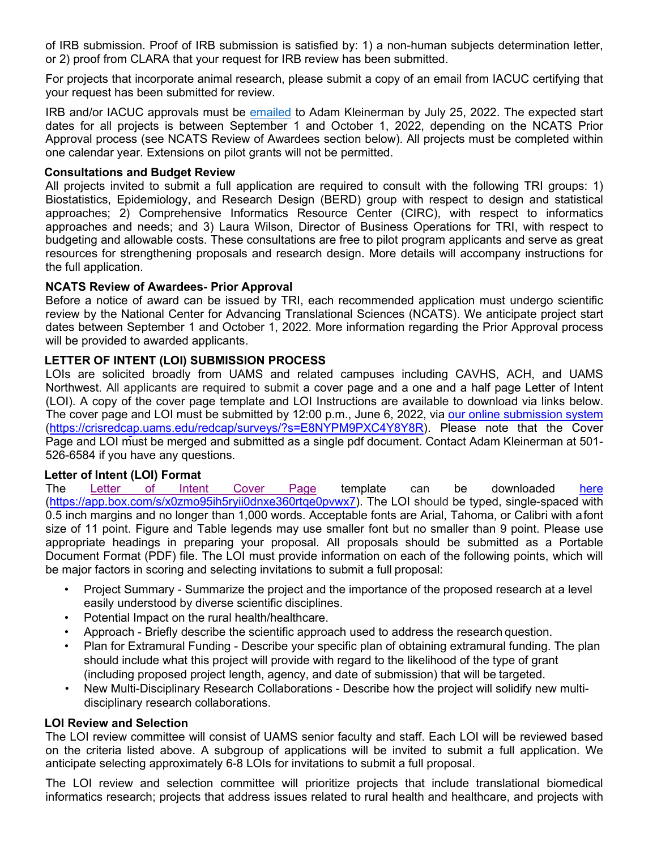of IRB submission. Proof of IRB submission is satisfied by: 1) a non-human subjects determination letter, or 2) proof from CLARA that your request for IRB review has been submitted.

For projects that incorporate animal research, please submit a copy of an email from IACUC certifying that your request has been submitted for review.

IRB and/or IACUC approvals must be [emailed](mailto:akleinerman@uams.edu) to Adam Kleinerman by July 25, 2022. The expected start dates for all projects is between September 1 and October 1, 2022, depending on the NCATS Prior Approval process (see NCATS Review of Awardees section below). All projects must be completed within one calendar year. Extensions on pilot grants will not be permitted.

## **Consultations and Budget Review**

All projects invited to submit a full application are required to consult with the following TRI groups: 1) Biostatistics, Epidemiology, and Research Design (BERD) group with respect to design and statistical approaches; 2) Comprehensive Informatics Resource Center (CIRC), with respect to informatics approaches and needs; and 3) Laura Wilson, Director of Business Operations for TRI, with respect to budgeting and allowable costs. These consultations are free to pilot program applicants and serve as great resources for strengthening proposals and research design. More details will accompany instructions for the full application.

# **NCATS Review of Awardees- Prior Approval**

Before a notice of award can be issued by TRI, each recommended application must undergo scientific review by the National Center for Advancing Translational Sciences (NCATS). We anticipate project start dates between September 1 and October 1, 2022. More information regarding the Prior Approval process will be provided to awarded applicants.

# **LETTER OF INTENT (LOI) SUBMISSION PROCESS**

LOIs are solicited broadly from UAMS and related campuses including CAVHS, ACH, and UAMS Northwest. All applicants are required to submit a cover page and a one and a half page Letter of Intent (LOI). A copy of the cover page template and LOI Instructions are available to download via links below. The cover page and LOI must be submitted by 12:00 p.m., June 6, 2022, via [our online submission system](https://crisredcap.uams.edu/redcap/surveys/?s=E8NYPM9PXC4Y8Y8R) [\(https://crisredcap.uams.edu/redcap/surveys/?s=E8NYPM9PXC4Y8Y8R\)](https://crisredcap.uams.edu/redcap/surveys/?s=E8NYPM9PXC4Y8Y8R). Please note that the Cover Page and LOI must be merged and submitted as a single pdf document. Contact Adam Kleinerman at 501- 526-6584 if you have any questions.

## **Letter of Intent (LOI) Format**

The [Letter of Intent](https://app.box.com/s/x0zmo95ih5ryii0dnxe360rtqe0pvwx7) Cover Page template can be downloaded [here](https://app.box.com/s/x0zmo95ih5ryii0dnxe360rtqe0pvwx7) [\(https://app.box.com/s/x0zmo95ih5ryii0dnxe360rtqe0pvwx7](https://app.box.com/s/x0zmo95ih5ryii0dnxe360rtqe0pvwx7)[\). T](https://tri.uams.edu/?page_id=9815&preview=true)he LOI should be typed, single-spaced with 0.5 inch margins and no longer than 1,000 words. Acceptable fonts are Arial, Tahoma, or Calibri with afont size of 11 point. Figure and Table legends may use smaller font but no smaller than 9 point. Please use appropriate headings in preparing your proposal. All proposals should be submitted as a Portable Document Format (PDF) file. The LOI must provide information on each of the following points, which will be major factors in scoring and selecting invitations to submit a full proposal:

- Project Summary Summarize the project and the importance of the proposed research at a level easily understood by diverse scientific disciplines.
- Potential Impact on the rural health/healthcare.
- Approach Briefly describe the scientific approach used to address the research question.
- Plan for Extramural Funding Describe your specific plan of obtaining extramural funding. The plan should include what this project will provide with regard to the likelihood of the type of grant (including proposed project length, agency, and date of submission) that will be targeted.
- New Multi-Disciplinary Research Collaborations Describe how the project will solidify new multidisciplinary research collaborations.

## **LOI Review and Selection**

The LOI review committee will consist of UAMS senior faculty and staff. Each LOI will be reviewed based on the criteria listed above. A subgroup of applications will be invited to submit a full application. We anticipate selecting approximately 6-8 LOIs for invitations to submit a full proposal.

The LOI review and selection committee will prioritize projects that include translational biomedical informatics research; projects that address issues related to rural health and healthcare, and projects with